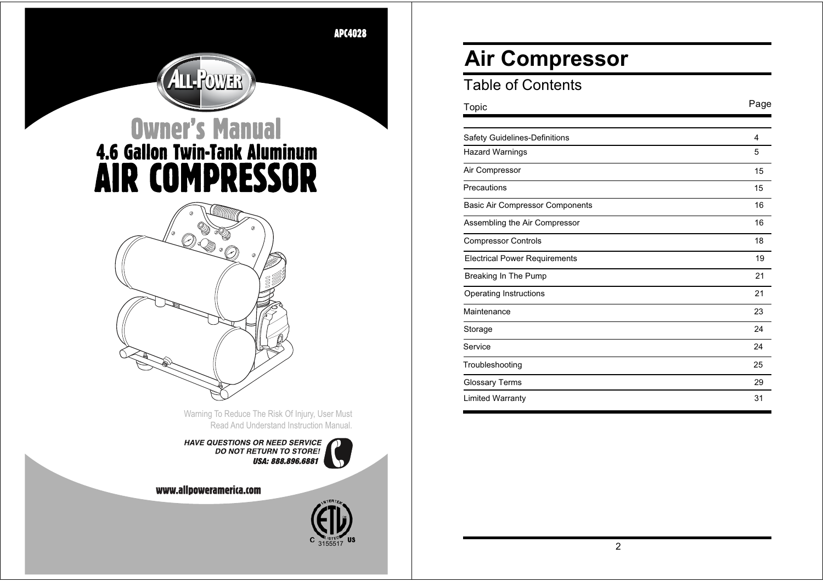APC4028

# **Owner's Manual<br>4.6 Gallon Twin-Tank Aluminum AIR COMPRESSOR**

**ALL-POWER** 



Warning To Reduce The Risk Of Injury, User Must Read And Understand Instruction Manual.

3155517

HAVE QUESTIONS OR NEED SERVICE<br>DO NOT RETURN TO STORE!<br>USA: 888.896.6881

www.allpoweramerica.com

# **Air Compressor**

| <b>Table of Contents</b> |  |  |  |
|--------------------------|--|--|--|
|--------------------------|--|--|--|

| Topic                                  | Page |
|----------------------------------------|------|
|                                        |      |
| Safety Guidelines-Definitions          | 4    |
| <b>Hazard Warnings</b>                 | 5    |
| Air Compressor                         | 15   |
| Precautions                            | 15   |
| <b>Basic Air Compressor Components</b> | 16   |
| Assembling the Air Compressor          | 16   |
| <b>Compressor Controls</b>             | 18   |
| <b>Electrical Power Requirements</b>   | 19   |
| Breaking In The Pump                   | 21   |
| Operating Instructions                 | 21   |
| Maintenance                            | 23   |
| Storage                                | 24   |
| Service                                | 24   |
| Troubleshooting                        | 25   |
| <b>Glossary Terms</b>                  | 29   |
| <b>Limited Warranty</b>                | 31   |

2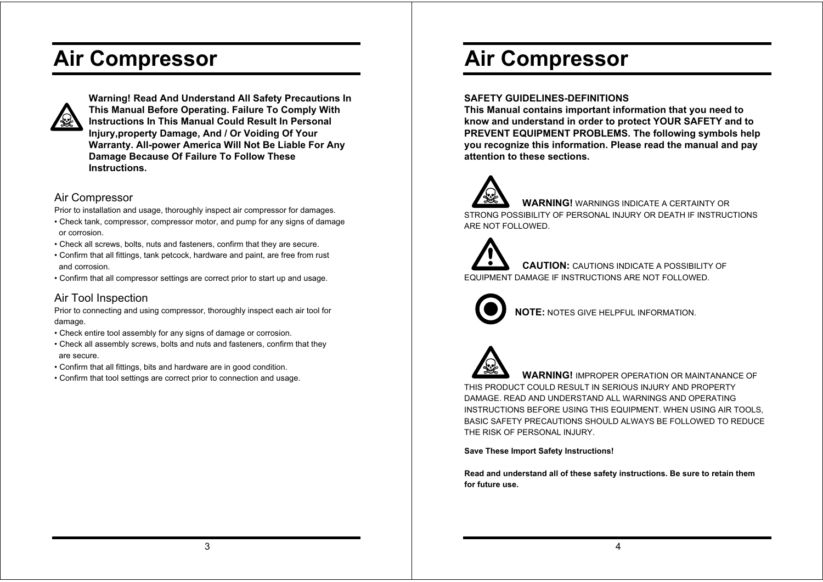# **Air Compressor**



**Warning! Read And Understand All Safety Precautions In This Manual Before Operating. Failure To Comply With Instructions In This Manual Could Result In Personal Injury.property Damage. And / Or Voiding Of Your Warranty, All-power America Will Not Be Liable For Any Damage Because Of Failure To Follow These**  $Instructions.$ 

#### Air Compressor

Prior to installation and usage, thoroughly inspect air compressor for damages.

- Check tank, compressor, compressor motor, and pump for any signs of damage or corrosion.
- Check all screws, bolts, nuts and fasteners, confirm that they are secure.
- . Confirm that all fittings, tank petcock, hardware and paint, are free from rust and corrosion.
- . Confirm that all compressor settings are correct prior to start up and usage.

### Air Tool Inspection

Prior to connecting and using compressor, thoroughly inspect each air tool for damage.

- Check entire tool assembly for any signs of damage or corrosion.
- . Check all assembly screws, bolts and nuts and fasteners, confirm that they are secure.
- Confirm that all fittings, bits and hardware are in good condition.
- Confirm that tool settings are correct prior to connection and usage.

# **Air Compressor**

#### **SAFETY GUIDELINES-DEFINITIONS**

**This Manual contains important information that you need to know and understand in order to protect YOUR SAFETY and to PREVENT EQUIPMENT PROBLEMS. The following symbols help you recognize this information. Please read the manual and pay attention to these sections.**

 **WARNING!** WARNINGS INDICATE A CERTAINTY OR STRONG POSSIBILITY OF PERSONAL INJURY OR DEATH IF INSTRUCTIONS ARE NOT FOLLOWED.

 **CAUTION:** CAUTIONS INDICATE A POSSIBILITY OF EQUIPMENT DAMAGE IF INSTRUCTIONS ARE NOT FOLLOWED.



**NOTE:** NOTES GIVE HELPFUL INFORMATION.



 **WARNING!** IMPROPER OPERATION OR MAINTANANCE OF THIS PRODUCT COULD RESULT IN SERIOUS INJURY AND PROPERTY DAMAGE. READ AND UNDERSTAND ALL WARNINGS AND OPERATING INSTRUCTIONS BEFORE USING THIS EQUIPMENT. WHEN USING AIR TOOLS, BASIC SAFETY PRECAUTIONS SHOULD ALWAYS BE FOLLOWED TO REDUCE THE RISK OF PERSONAL INJURY.

**Save These Import Safety Instructions!**

**Read and understand all of these safety instructions. Be sure to retain them for future use.**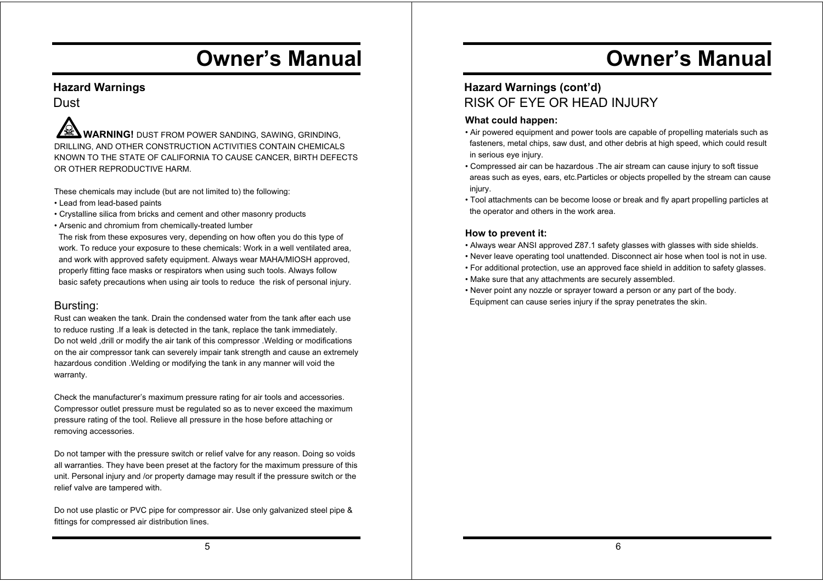### **Hazard Warnings**

**Dust** 

 **WARNING!** DUST FROM POWER SANDING, SAWING, GRINDING, DRILLING, AND OTHER CONSTRUCTION ACTIVITIES CONTAIN CHEMICALS KNOWN TO THE STATE OF CALIFORNIA TO CAUSE CANCER, BIRTH DEFECTS OR OTHER REPRODUCTIVE HARM.

These chemicals may include (but are not limited to) the following:

- Lead from lead-based paints
- Crystalline silica from bricks and cement and other masonry products
- Arsenic and chromium from chemically-treated lumber

 The risk from these exposures very, depending on how often you do this type of work. To reduce your exposure to these chemicals: Work in a well ventilated area, and work with approved safety equipment. Always wear MAHA/MIOSH approved, properly fitting face masks or respirators when using such tools. Always follow basic safety precautions when using air tools to reduce the risk of personal injury.

### Bursting:

Rust can weaken the tank. Drain the condensed water from the tank after each use to reduce rusting .If a leak is detected in the tank, replace the tank immediately. Do not weld ,drill or modify the air tank of this compressor .Welding or modifications on the air compressor tank can severely impair tank strength and cause an extremely hazardous condition .Welding or modifying the tank in any manner will void the warranty.

Check the manufacturer's maximum pressure rating for air tools and accessories. Compressor outlet pressure must be regulated so as to never exceed the maximum pressure rating of the tool. Relieve all pressure in the hose before attaching or removing accessories.

Do not tamper with the pressure switch or relief valve for any reason. Doing so voids all warranties. They have been preset at the factory for the maximum pressure of this unit. Personal injury and /or property damage may result if the pressure switch or the relief valve are tampered with.

Do not use plastic or PVC pipe for compressor air. Use only galvanized steel pipe & fittings for compressed air distribution lines.

# **Owner's Manual**

### **Hazard Warnings (cont'd)** RISK OF EYE OR HEAD INJURY

#### **What could happen:**

- Air powered equipment and power tools are capable of propelling materials such as fasteners, metal chips, saw dust, and other debris at high speed, which could result in serious eye injury.
- Compressed air can be hazardous .The air stream can cause injury to soft tissue areas such as eyes, ears, etc.Particles or objects propelled by the stream can cause injury.
- Tool attachments can be become loose or break and fly apart propelling particles at the operator and others in the work area.

- Always wear ANSI approved Z87.1 safety glasses with glasses with side shields.
- Never leave operating tool unattended. Disconnect air hose when tool is not in use.
- For additional protection, use an approved face shield in addition to safety glasses.
- Make sure that any attachments are securely assembled.
- Never point any nozzle or sprayer toward a person or any part of the body. Equipment can cause series injury if the spray penetrates the skin.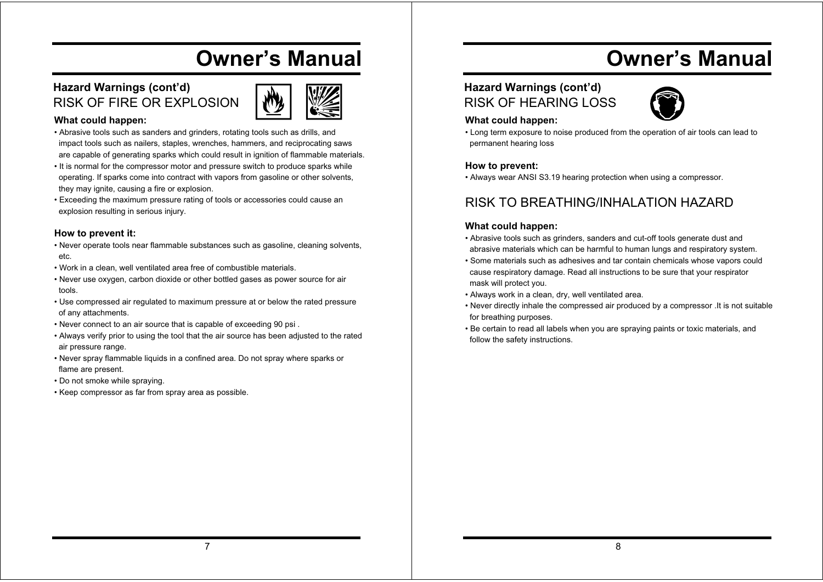### **Hazard Warnings (cont'd)** RISK OF FIRE OR EXPLOSION



#### **What could happen:**

- Abrasive tools such as sanders and grinders, rotating tools such as drills, and impact tools such as nailers, staples, wrenches, hammers, and reciprocating saws are capable of generating sparks which could result in ignition of flammable materials.
- It is normal for the compressor motor and pressure switch to produce sparks while operating. If sparks come into contract with vapors from gasoline or other solvents, they may ignite, causing a fire or explosion.
- Exceeding the maximum pressure rating of tools or accessories could cause an explosion resulting in serious injury.

#### **How to prevent it:**

- Never operate tools near flammable substances such as gasoline, cleaning solvents, etc.
- Work in a clean, well ventilated area free of combustible materials.
- Never use oxygen, carbon dioxide or other bottled gases as power source for air tools.
- Use compressed air regulated to maximum pressure at or below the rated pressure of any attachments.
- Never connect to an air source that is capable of exceeding 90 psi .
- Always verify prior to using the tool that the air source has been adjusted to the rated air pressure range.
- Never spray flammable liquids in a confined area. Do not spray where sparks or flame are present.
- Do not smoke while spraying.
- Keep compressor as far from spray area as possible.

# **Owner's Manual**

### **Hazard Warnings (cont'd)** RISK OF HEARING LOSS



#### **What could happen:**

• Long term exposure to noise produced from the operation of air tools can lead to permanent hearing loss

#### **How to prevent:**

• Always wear ANSI S3.19 hearing protection when using a compressor.

## RISK TO BREATHING/INHALATION HAZARD

#### **What could happen:**

- Abrasive tools such as grinders, sanders and cut-off tools generate dust and abrasive materials which can be harmful to human lungs and respiratory system.
- Some materials such as adhesives and tar contain chemicals whose vapors could cause respiratory damage. Read all instructions to be sure that your respirator mask will protect you.
- Always work in a clean, dry, well ventilated area.
- Never directly inhale the compressed air produced by a compressor .It is not suitable for breathing purposes.
- Be certain to read all labels when you are spraying paints or toxic materials, and follow the safety instructions.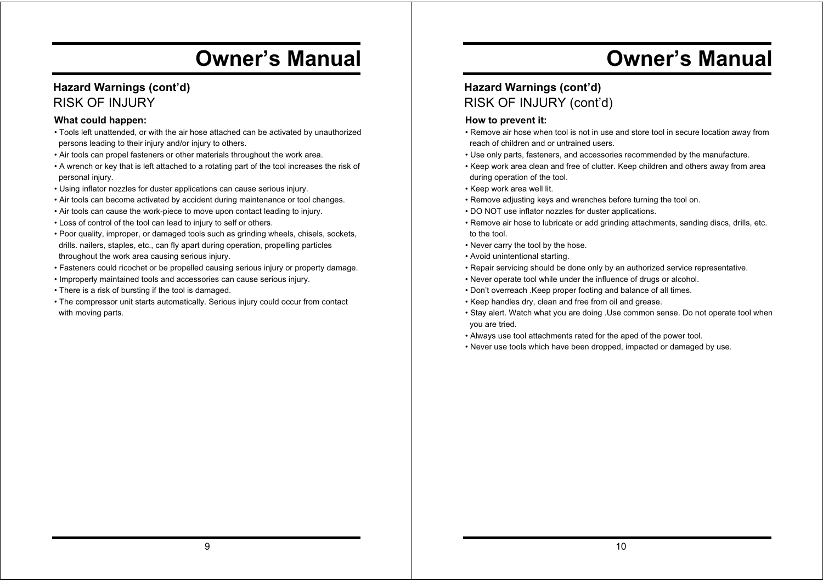### **Hazard Warnings (cont'd)** RISK OF INJURY

#### **What could happen:**

- Tools left unattended, or with the air hose attached can be activated by unauthorized persons leading to their injury and/or injury to others.
- Air tools can propel fasteners or other materials throughout the work area.
- A wrench or key that is left attached to a rotating part of the tool increases the risk of personal injury.
- Using inflator nozzles for duster applications can cause serious injury.
- Air tools can become activated by accident during maintenance or tool changes.
- Air tools can cause the work-piece to move upon contact leading to injury.
- Loss of control of the tool can lead to injury to self or others.
- Poor quality, improper, or damaged tools such as grinding wheels, chisels, sockets, drills. nailers, staples, etc., can fly apart during operation, propelling particles throughout the work area causing serious injury.
- Fasteners could ricochet or be propelled causing serious injury or property damage.
- Improperly maintained tools and accessories can cause serious injury.
- There is a risk of bursting if the tool is damaged.
- The compressor unit starts automatically. Serious injury could occur from contact with moving parts.

# **Owner's Manual**

### **Hazard Warnings (cont'd)** RISK OF INJURY (cont'd)

- Remove air hose when tool is not in use and store tool in secure location away from reach of children and or untrained users.
- Use only parts, fasteners, and accessories recommended by the manufacture.
- Keep work area clean and free of clutter. Keep children and others away from area during operation of the tool.
- Keep work area well lit.
- Remove adjusting keys and wrenches before turning the tool on.
- DO NOT use inflator nozzles for duster applications.
- Remove air hose to lubricate or add grinding attachments, sanding discs, drills, etc. to the tool.
- Never carry the tool by the hose.
- Avoid unintentional starting.
- Repair servicing should be done only by an authorized service representative.
- Never operate tool while under the influence of drugs or alcohol.
- Don't overreach .Keep proper footing and balance of all times.
- Keep handles dry, clean and free from oil and grease.
- Stay alert. Watch what you are doing .Use common sense. Do not operate tool when you are tried.
- Always use tool attachments rated for the aped of the power tool.
- Never use tools which have been dropped, impacted or damaged by use.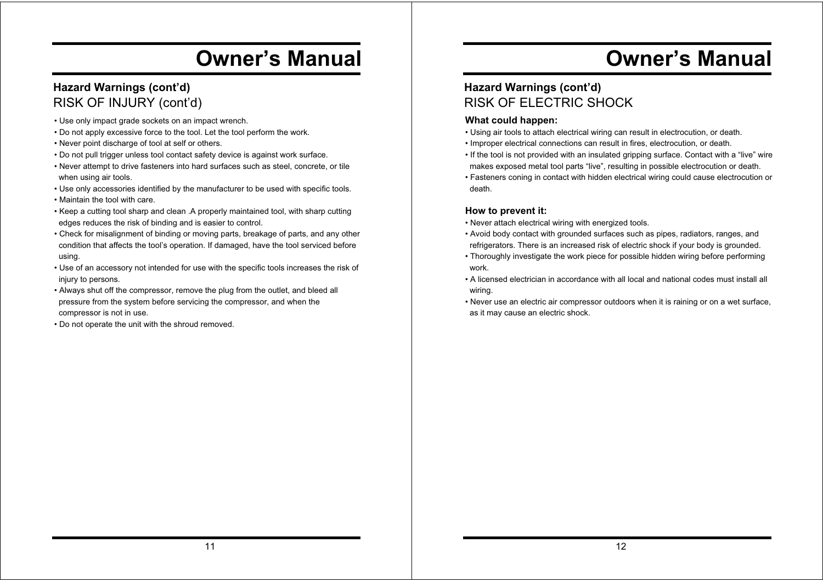### **Hazard Warnings (cont'd)** RISK OF INJURY (cont'd)

- Use only impact grade sockets on an impact wrench.
- Do not apply excessive force to the tool. Let the tool perform the work.
- Never point discharge of tool at self or others.
- Do not pull trigger unless tool contact safety device is against work surface.
- Never attempt to drive fasteners into hard surfaces such as steel, concrete, or tile when using air tools.
- Use only accessories identified by the manufacturer to be used with specific tools.
- Maintain the tool with care.
- Keep a cutting tool sharp and clean .A properly maintained tool, with sharp cutting edges reduces the risk of binding and is easier to control.
- Check for misalignment of binding or moving parts, breakage of parts, and any other condition that affects the tool's operation. If damaged, have the tool serviced before using.
- Use of an accessory not intended for use with the specific tools increases the risk of injury to persons.
- Always shut off the compressor, remove the plug from the outlet, and bleed all pressure from the system before servicing the compressor, and when the compressor is not in use.
- Do not operate the unit with the shroud removed.

# **Owner's Manual**

### **Hazard Warnings (cont'd)** RISK OF ELECTRIC SHOCK

#### **What could happen:**

- Using air tools to attach electrical wiring can result in electrocution, or death.
- Improper electrical connections can result in fires, electrocution, or death.
- If the tool is not provided with an insulated gripping surface. Contact with a "live" wire makes exposed metal tool parts "live", resulting in possible electrocution or death.
- Fasteners coning in contact with hidden electrical wiring could cause electrocution or death.

- Never attach electrical wiring with energized tools.
- Avoid body contact with grounded surfaces such as pipes, radiators, ranges, and refrigerators. There is an increased risk of electric shock if your body is grounded.
- Thoroughly investigate the work piece for possible hidden wiring before performing work.
- A licensed electrician in accordance with all local and national codes must install all wiring.
- Never use an electric air compressor outdoors when it is raining or on a wet surface, as it may cause an electric shock.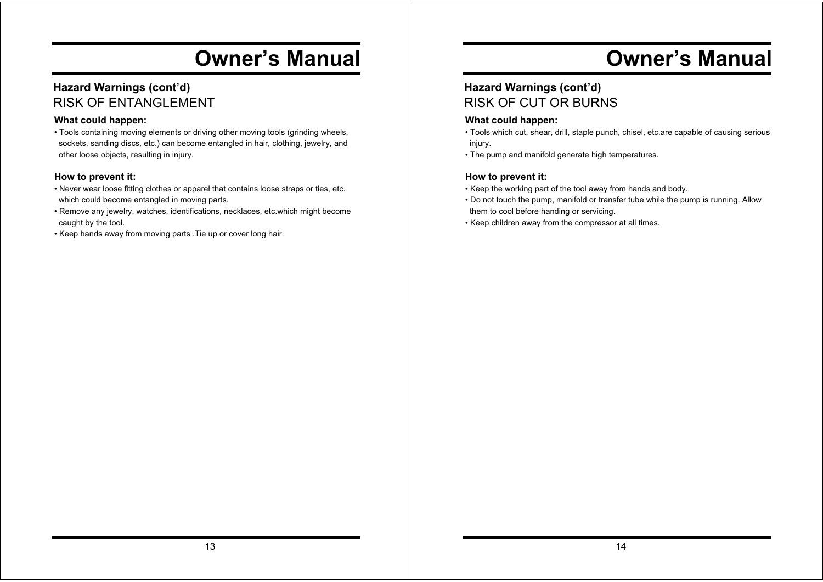### **Hazard Warnings (cont'd)** RISK OF ENTANGLEMENT

#### **What could happen:**

• Tools containing moving elements or driving other moving tools (grinding wheels, sockets, sanding discs, etc.) can become entangled in hair, clothing, jewelry, and other loose objects, resulting in injury.

#### **How to prevent it:**

- Never wear loose fitting clothes or apparel that contains loose straps or ties, etc. which could become entangled in moving parts.
- Remove any jewelry, watches, identifications, necklaces, etc.which might become caught by the tool.
- Keep hands away from moving parts .Tie up or cover long hair.

# **Owner's Manual**

### **Hazard Warnings (cont'd)** RISK OF CUT OR BURNS

#### **What could happen:**

- Tools which cut, shear, drill, staple punch, chisel, etc.are capable of causing serious injury.
- The pump and manifold generate high temperatures.

- Keep the working part of the tool away from hands and body.
- Do not touch the pump, manifold or transfer tube while the pump is running. Allow them to cool before handing or servicing.
- Keep children away from the compressor at all times.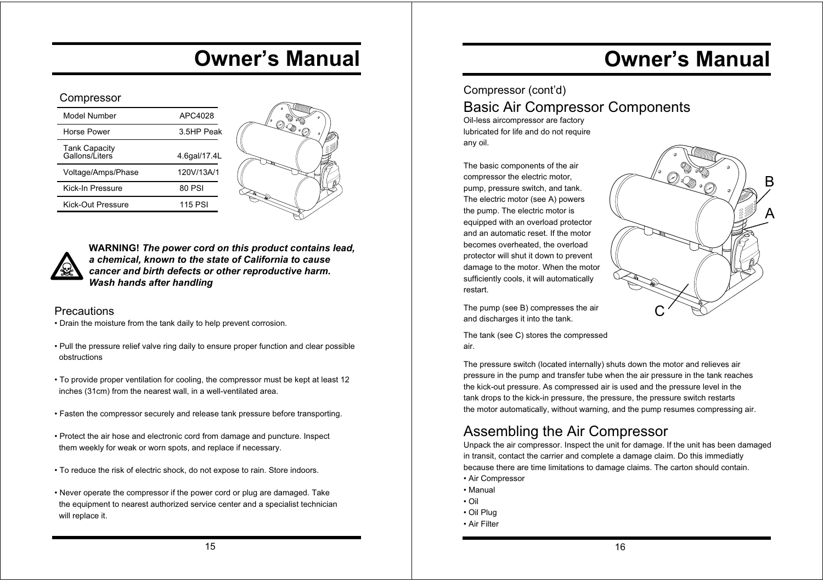#### Compressor

| Model Number                           | APC4028      |
|----------------------------------------|--------------|
| Horse Power                            | 3.5HP Peak   |
| <b>Tank Capacity</b><br>Gallons/Liters | 4.6qal/17.4L |
| Voltage/Amps/Phase                     | 120V/13A/1   |
| Kick-In Pressure                       | 80 PSI       |
| Kick-Out Pressure                      | 115 PSI      |





**WARNING!** *The power cord on this product contains lead, a chemical, known to the state of California to cause cancer and birth defects or other reproductive harm. Wash hands after handling*

#### **Precautions**

- Drain the moisture from the tank daily to help prevent corrosion.
- Pull the pressure relief valve ring daily to ensure proper function and clear possible obstructions
- To provide proper ventilation for cooling, the compressor must be kept at least 12 inches (31cm) from the nearest wall, in a well-ventilated area.
- Fasten the compressor securely and release tank pressure before transporting.
- Protect the air hose and electronic cord from damage and puncture. Inspect them weekly for weak or worn spots, and replace if necessary.
- To reduce the risk of electric shock, do not expose to rain. Store indoors.
- Never operate the compressor if the power cord or plug are damaged. Take the equipment to nearest authorized service center and a specialist technician will replace it.

# **Owner's Manual**

A

B

# Compressor (cont'd) Basic Air Compressor Components

Oil-less aircompressor are factory lubricated for life and do not require any oil.

The basic components of the air compressor the electric motor, pump, pressure switch, and tank. The electric motor (see A) powers the pump. The electric motor is equipped with an overload protector and an automatic reset. If the motor becomes overheated, the overload protector will shut it down to prevent damage to the motor. When the motor sufficiently cools, it will automatically restart.

The pump (see B) compresses the air and discharges it into the tank.

The tank (see C) stores the compressed air.

The pressure switch (located internally) shuts down the motor and relieves air pressure in the pump and transfer tube when the air pressure in the tank reaches the kick-out pressure. As compressed air is used and the pressure level in the tank drops to the kick-in pressure, the pressure, the pressure switch restarts the motor automatically, without warning, and the pump resumes compressing air.

C

# Assembling the Air Compressor

Unpack the air compressor. Inspect the unit for damage. If the unit has been damaged in transit, contact the carrier and complete a damage claim. Do this immediatly because there are time limitations to damage claims. The carton should contain.

- Air Compressor
- Manual
- Oil
- Oil Plug
- Air Filter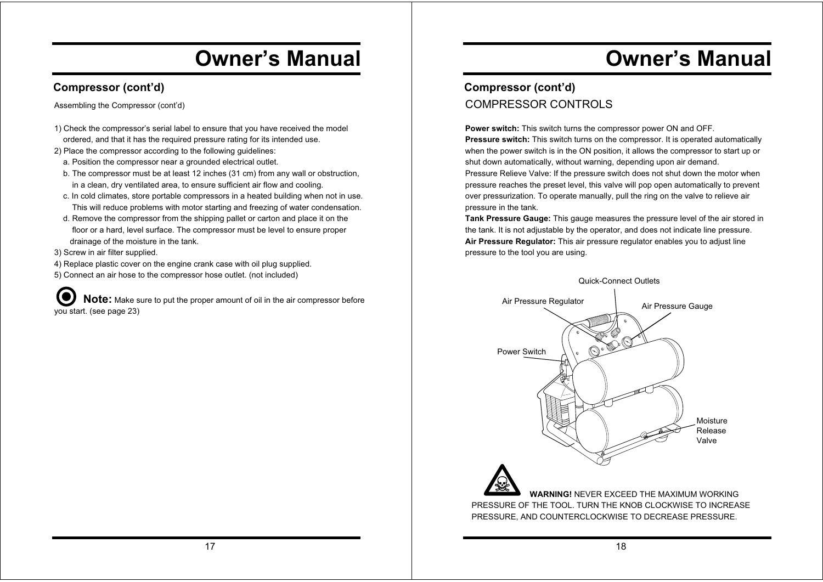### **Compressor (cont'd)**

Assembling the Compressor (cont'd)

- 1) Check the compressor's serial label to ensure that you have received the model ordered, and that it has the required pressure rating for its intended use.
- 2) Place the compressor according to the following guidelines:
	- a. Position the compressor near a grounded electrical outlet.
	- b. The compressor must be at least 12 inches (31 cm) from any wall or obstruction, in a clean, dry ventilated area, to ensure sufficient air flow and cooling.
	- c. In cold climates, store portable compressors in a heated building when not in use. This will reduce problems with motor starting and freezing of water condensation.
- d. Remove the compressor from the shipping pallet or carton and place it on the floor or a hard, level surface. The compressor must be level to ensure proper drainage of the moisture in the tank.
- 3) Screw in air filter supplied.
- 4) Replace plastic cover on the engine crank case with oil plug supplied.
- 5) Connect an air hose to the compressor hose outlet. (not included)

**Note:** Make sure to put the proper amount of oil in the air compressor before you start. (see page 23)

# **Owner's Manual**

## **Compressor (cont'd)** COMPRESSOR CONTROLS

**Power switch:** This switch turns the compressor power ON and OFF. **Pressure switch:** This switch turns on the compressor. It is operated automatically when the power switch is in the ON position, it allows the compressor to start up or shut down automatically, without warning, depending upon air demand. Pressure Relieve Valve: If the pressure switch does not shut down the motor when pressure reaches the preset level, this valve will pop open automatically to prevent over pressurization. To operate manually, pull the ring on the valve to relieve air pressure in the tank.

**Tank Pressure Gauge:** This gauge measures the pressure level of the air stored in the tank. It is not adjustable by the operator, and does not indicate line pressure. **Air Pressure Regulator:** This air pressure regulator enables you to adjust line pressure to the tool you are using.

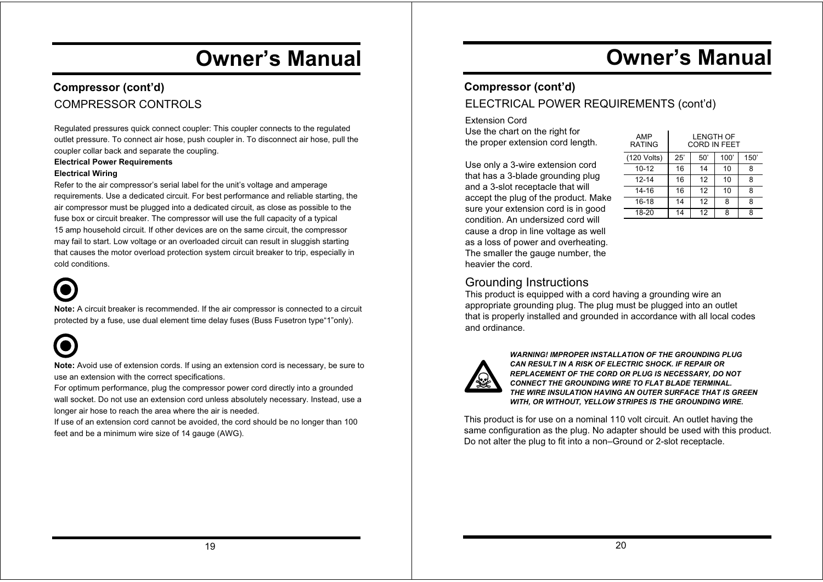### **Compressor (cont'd)** COMPRESSOR CONTROLS

Regulated pressures quick connect coupler: This coupler connects to the regulated outlet pressure. To connect air hose, push coupler in. To disconnect air hose, pull the coupler collar back and separate the coupling.

#### **Electrical Power Requirements**

#### **Electrical Wiring**

Refer to the air compressor's serial label for the unit's voltage and amperage requirements. Use a dedicated circuit. For best performance and reliable starting, the air compressor must be plugged into a dedicated circuit, as close as possible to the fuse box or circuit breaker. The compressor will use the full capacity of a typical 15 amp household circuit. If other devices are on the same circuit, the compressor may fail to start. Low voltage or an overloaded circuit can result in sluggish starting that causes the motor overload protection system circuit breaker to trip, especially in cold conditions.



**Note:** A circuit breaker is recommended. If the air compressor is connected to a circuit protected by a fuse, use dual element time delay fuses (Buss Fusetron type"1"only).



**Note:** Avoid use of extension cords. If using an extension cord is necessary, be sure to use an extension with the correct specifications.

For optimum performance, plug the compressor power cord directly into a grounded wall socket. Do not use an extension cord unless absolutely necessary. Instead, use a longer air hose to reach the area where the air is needed.

If use of an extension cord cannot be avoided, the cord should be no longer than 100 feet and be a minimum wire size of 14 gauge (AWG).

# **Owner's Manual**

### **Compressor (cont'd)**

### ELECTRICAL POWER REQUIREMENTS (cont'd)

Extension Cord Use the chart on the right for the proper extension cord length.

Use only a 3-wire extension cord that has a 3-blade grounding plug and a 3-slot receptacle that will accept the plug of the product. Make sure your extension cord is in good condition. An undersized cord will cause a drop in line voltage as well as a loss of power and overheating. The smaller the gauge number, the heavier the cord.

| AMP<br><b>RATING</b> | <b>LENGTH OF</b><br><b>CORD IN FEET</b> |     |      |      |
|----------------------|-----------------------------------------|-----|------|------|
| (120 Volts)          | 25'                                     | 50' | 100' | 150' |
| $10 - 12$            | 16                                      | 14  | 10   | 8    |
| $12 - 14$            | 16                                      | 12  | 10   | 8    |
| 14-16                | 16                                      | 12  | 10   | 8    |
| 16-18                | 14                                      | 12  | 8    | 8    |
| 18-20                | 14                                      | 12  | ጸ    | 8    |

### Grounding Instructions

This product is equipped with a cord having a grounding wire an appropriate grounding plug. The plug must be plugged into an outlet that is properly installed and grounded in accordance with all local codes and ordinance.



*WARNING! IMPROPER INSTALLATION OF THE GROUNDING PLUG CAN RESULT IN A RISK OF ELECTRIC SHOCK. IF REPAIR OR REPLACEMENT OF THE CORD OR PLUG IS NECESSARY, DO NOT CONNECT THE GROUNDING WIRE TO FLAT BLADE TERMINAL. THE WIRE INSULATION HAVING AN OUTER SURFACE THAT IS GREEN WITH, OR WITHOUT, YELLOW STRIPES IS THE GROUNDING WIRE.*

This product is for use on a nominal 110 volt circuit. An outlet having the same configuration as the plug. No adapter should be used with this product. Do not alter the plug to fit into a non–Ground or 2-slot receptacle.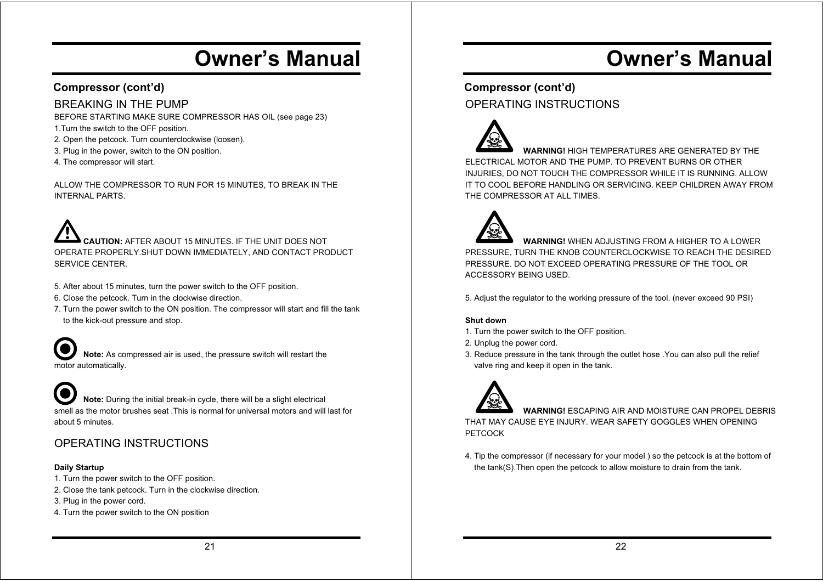### **Compressor (cont'd)**

### BREAKING IN THE PUMP

BEFORE STARTING MAKE SURE COMPRESSOR HAS OIL (see page 23)

- 1.Turn the switch to the OFF position.
- 2. Open the petcock. Turn counterclockwise (loosen).
- 3. Plug in the power, switch to the ON position.
- 4. The compressor will start.

ALLOW THE COMPRESSOR TO RUN FOR 15 MINUTES, TO BREAK IN THE INTERNAL PARTS.

 **CAUTION:** AFTER ABOUT 15 MINUTES. IF THE UNIT DOES NOT OPERATE PROPERLY.SHUT DOWN IMMEDIATELY, AND CONTACT PRODUCT SERVICE CENTER.

- 5. After about 15 minutes, turn the power switch to the OFF position.
- 6. Close the petcock. Turn in the clockwise direction.
- 7. Turn the power switch to the ON position. The compressor will start and fill the tank to the kick-out pressure and stop.

 **Note:** As compressed air is used, the pressure switch will restart the motor automatically.

 **Note:** During the initial break-in cycle, there will be a slight electrical smell as the motor brushes seat .This is normal for universal motors and will last for about 5 minutes.

### OPERATING INSTRUCTIONS

#### **Daily Startup**

- 1. Turn the power switch to the OFF position.
- 2. Close the tank petcock. Turn in the clockwise direction.
- 3. Plug in the power cord.
- 4. Turn the power switch to the ON position

# **Owner's Manual**

### **Compressor (cont'd)** OPERATING INSTRUCTIONS



 **WARNING!** HIGH TEMPERATURES ARE GENERATED BY THE ELECTRICAL MOTOR AND THE PUMP. TO PREVENT BURNS OR OTHER INJURIES, DO NOT TOUCH THE COMPRESSOR WHILE IT IS RUNNING. ALLOW IT TO COOL BEFORE HANDLING OR SERVICING. KEEP CHILDREN AWAY FROM THE COMPRESSOR AT ALL TIMES.



 **WARNING!** WHEN ADJUSTING FROM A HIGHER TO A LOWER PRESSURE, TURN THE KNOB COUNTERCLOCKWISE TO REACH THE DESIRED PRESSURE. DO NOT EXCEED OPERATING PRESSURE OF THE TOOL OR ACCESSORY BEING USED.

5. Adjust the regulator to the working pressure of the tool. (never exceed 90 PSI)

#### **Shut down**

- 1. Turn the power switch to the OFF position.
- 2. Unplug the power cord.
- 3. Reduce pressure in the tank through the outlet hose .You can also pull the relief valve ring and keep it open in the tank.



 **WARNING!** ESCAPING AIR AND MOISTURE CAN PROPEL DEBRIS THAT MAY CAUSE EYE INJURY. WEAR SAFETY GOGGLES WHEN OPENING **PETCOCK** 

4. Tip the compressor (if necessary for your model ) so the petcock is at the bottom of the tank(S).Then open the petcock to allow moisture to drain from the tank.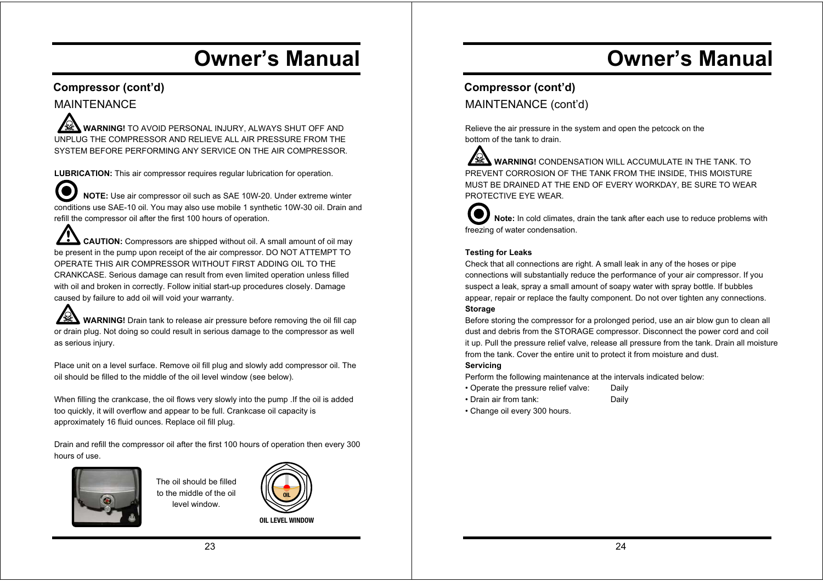#### **Compressor (cont'd)** MAINTENANCE

 **WARNING!** TO AVOID PERSONAL INJURY, ALWAYS SHUT OFF AND UNPLUG THE COMPRESSOR AND RELIEVE ALL AIR PRESSURE FROM THE SYSTEM BEFORE PERFORMING ANY SERVICE ON THE AIR COMPRESSOR.

**LUBRICATION:** This air compressor requires regular lubrication for operation.

 **NOTE:** Use air compressor oil such as SAE 10W-20. Under extreme winter conditions use SAE-10 oil. You may also use mobile 1 synthetic 10W-30 oil. Drain and refill the compressor oil after the first 100 hours of operation.

 **CAUTION:** Compressors are shipped without oil. A small amount of oil may be present in the pump upon receipt of the air compressor. DO NOT ATTEMPT TO OPERATE THIS AIR COMPRESSOR WITHOUT FIRST ADDING OIL TO THE CRANKCASE. Serious damage can result from even limited operation unless filled with oil and broken in correctly. Follow initial start-up procedures closely. Damage caused by failure to add oil will void your warranty.

**WARNING!** Drain tank to release air pressure before removing the oil fill cap or drain plug. Not doing so could result in serious damage to the compressor as well as serious injury.

Place unit on a level surface. Remove oil fill plug and slowly add compressor oil. The oil should be filled to the middle of the oil level window (see below).

When filling the crankcase, the oil flows very slowly into the pump .If the oil is added too quickly, it will overflow and appear to be full. Crankcase oil capacity is approximately 16 fluid ounces. Replace oil fill plug.

Drain and refill the compressor oil after the first 100 hours of operation then every 300 hours of use.



The oil should be filled to the middle of the oil level window.



**OIL LEVEL WINDOW**

# **Owner's Manual**

### **Compressor (cont'd)** MAINTENANCE (cont'd)

Relieve the air pressure in the system and open the petcock on the bottom of the tank to drain.

A **WARNING!** CONDENSATION WILL ACCUMULATE IN THE TANK. TO PREVENT CORROSION OF THE TANK FROM THE INSIDE, THIS MOISTURE MUST BE DRAINED AT THE END OF EVERY WORKDAY, BE SURE TO WEAR PROTECTIVE EYE WEAR.

**10 Note:** In cold climates, drain the tank after each use to reduce problems with freezing of water condensation.

#### **Testing for Leaks**

Check that all connections are right. A small leak in any of the hoses or pipe connections will substantially reduce the performance of your air compressor. If you suspect a leak, spray a small amount of soapy water with spray bottle. If bubbles appear, repair or replace the faulty component. Do not over tighten any connections.

#### **Storage**

Before storing the compressor for a prolonged period, use an air blow gun to clean all dust and debris from the STORAGE compressor. Disconnect the power cord and coil it up. Pull the pressure relief valve, release all pressure from the tank. Drain all moisture from the tank. Cover the entire unit to protect it from moisture and dust.

#### **Servicing**

Perform the following maintenance at the intervals indicated below:

- Operate the pressure relief valve: Daily
- Drain air from tank: Daily
- Change oil every 300 hours.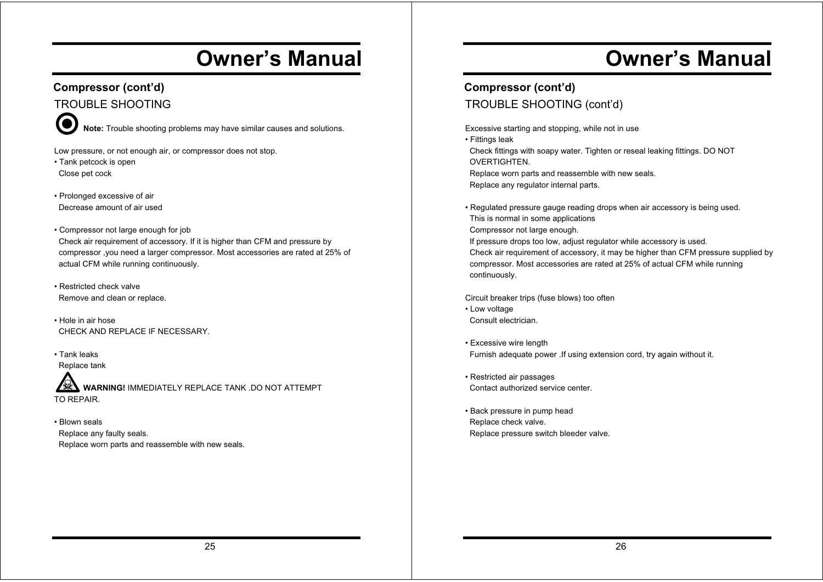### **Compressor (cont'd)** TROUBLE SHOOTING

**1888 Note:** Trouble shooting problems may have similar causes and solutions.

Low pressure, or not enough air, or compressor does not stop.

- Tank petcock is open Close pet cock
- Prolonged excessive of air Decrease amount of air used
- Compressor not large enough for job Check air requirement of accessory. If it is higher than CFM and pressure by compressor ,you need a larger compressor. Most accessories are rated at 25% of actual CFM while running continuously.
- Restricted check valve Remove and clean or replace.
- Hole in air hose CHECK AND REPLACE IF NECESSARY.
- Tank leaks Replace tank

WARNING! IMMEDIATELY REPLACE TANK .DO NOT ATTEMPT TO REPAIR.

• Blown seals Replace any faulty seals. Replace worn parts and reassemble with new seals.

# **Owner's Manual**

## **Compressor (cont'd)** TROUBLE SHOOTING (cont'd)

Excessive starting and stopping, while not in use • Fittings leak Check fittings with soapy water. Tighten or reseal leaking fittings. DO NOT **OVERTIGHTFN**  Replace worn parts and reassemble with new seals. Replace any regulator internal parts.

• Regulated pressure gauge reading drops when air accessory is being used. This is normal in some applications Compressor not large enough. If pressure drops too low, adjust regulator while accessory is used. Check air requirement of accessory, it may be higher than CFM pressure supplied by compressor. Most accessories are rated at 25% of actual CFM while running

Circuit breaker trips (fuse blows) too often

• Low voltage Consult electrician.

continuously.

- Excessive wire length Furnish adequate power .If using extension cord, try again without it.
- Restricted air passages Contact authorized service center.
- Back pressure in pump head Replace check valve. Replace pressure switch bleeder valve.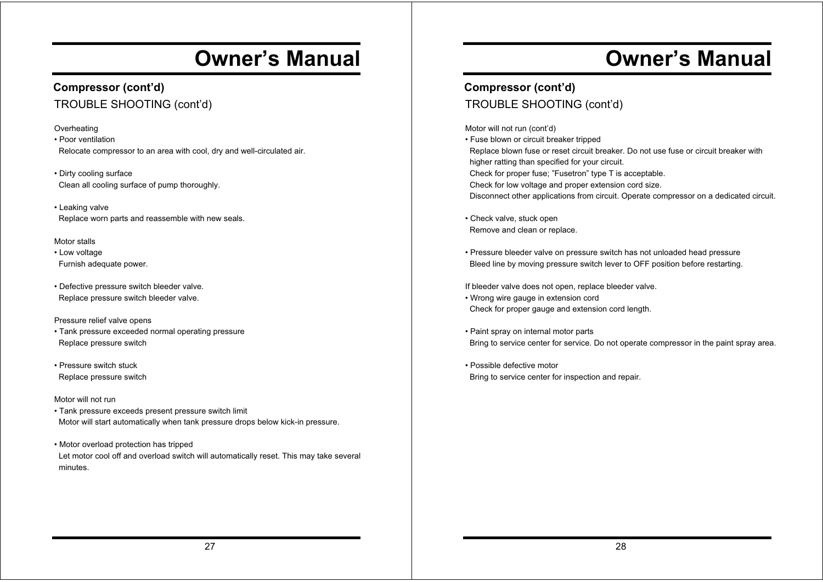### **Compressor (cont'd)** TROUBLE SHOOTING (cont'd)

#### **Overheating**

• Poor ventilation Relocate compressor to an area with cool, dry and well-circulated air.

• Dirty cooling surface Clean all cooling surface of pump thoroughly.

• Leaking valve Replace worn parts and reassemble with new seals.

#### Motor stalls

• Low voltage Furnish adequate power.

• Defective pressure switch bleeder valve. Replace pressure switch bleeder valve.

#### Pressure relief valve opens

- Tank pressure exceeded normal operating pressure Replace pressure switch
- Pressure switch stuck Replace pressure switch

#### Motor will not run

• Tank pressure exceeds present pressure switch limit Motor will start automatically when tank pressure drops below kick-in pressure.

• Motor overload protection has tripped Let motor cool off and overload switch will automatically reset. This may take several minutes.

# **Owner's Manual**

### **Compressor (cont'd)** TROUBLE SHOOTING (cont'd)

Motor will not run (cont'd)

• Fuse blown or circuit breaker tripped Replace blown fuse or reset circuit breaker. Do not use fuse or circuit breaker with higher ratting than specified for your circuit. Check for proper fuse; "Fusetron" type T is acceptable. Check for low voltage and proper extension cord size. Disconnect other applications from circuit. Operate compressor on a dedicated circuit.

• Check valve, stuck open Remove and clean or replace.

• Pressure bleeder valve on pressure switch has not unloaded head pressure Bleed line by moving pressure switch lever to OFF position before restarting.

If bleeder valve does not open, replace bleeder valve.

- Wrong wire gauge in extension cord Check for proper gauge and extension cord length.
- Paint spray on internal motor parts Bring to service center for service. Do not operate compressor in the paint spray area.

• Possible defective motor Bring to service center for inspection and repair.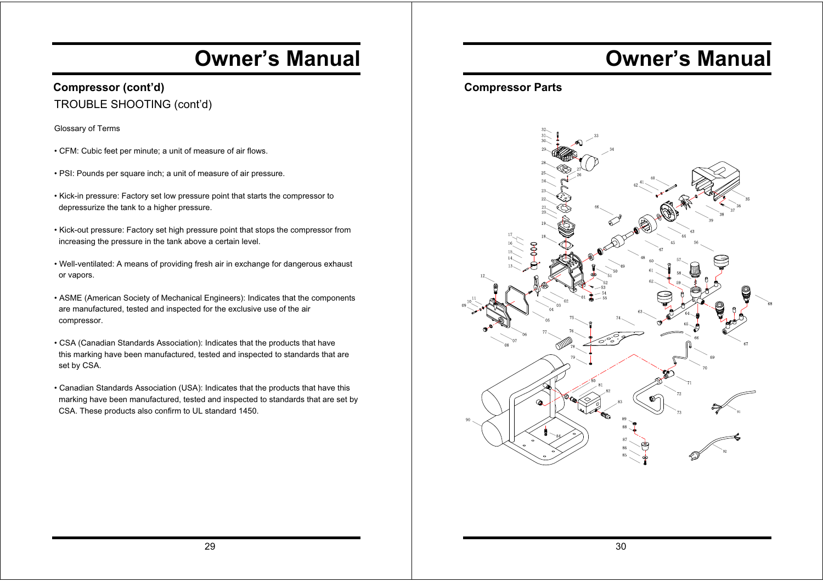### **Compressor (cont'd)** TROUBLE SHOOTING (cont'd)

Glossary of Terms

- CFM: Cubic feet per minute; a unit of measure of air flows.
- PSI: Pounds per square inch; a unit of measure of air pressure.
- Kick-in pressure: Factory set low pressure point that starts the compressor to depressurize the tank to a higher pressure.
- Kick-out pressure: Factory set high pressure point that stops the compressor from increasing the pressure in the tank above a certain level.
- Well-ventilated: A means of providing fresh air in exchange for dangerous exhaust or vapors.
- ASME (American Society of Mechanical Engineers): Indicates that the components are manufactured, tested and inspected for the exclusive use of the air compressor.
- CSA (Canadian Standards Association): Indicates that the products that have this marking have been manufactured, tested and inspected to standards that are set by CSA.
- Canadian Standards Association (USA): Indicates that the products that have this marking have been manufactured, tested and inspected to standards that are set by CSA. These products also confirm to UL standard 1450.

# **Owner's Manual**

### **Compressor Parts**

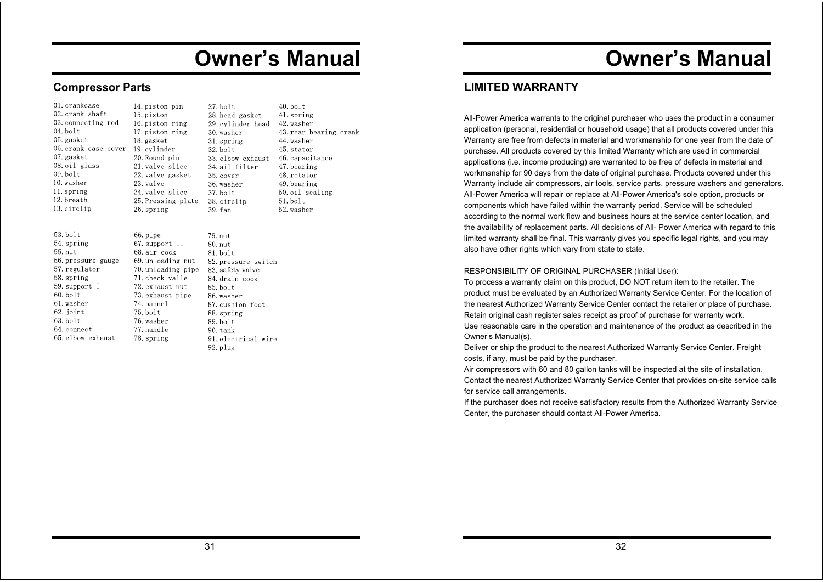### **Compressor Parts**

58. spring

 $60.$  bolt

61. washer

62. joint

 $63$  holt

64. connect

65. elbow exhaust

59. support I

| 01. crankcase        | 14. piston pin     | $27.$ bolt         | 40. b |
|----------------------|--------------------|--------------------|-------|
| 02. crank shaft      | 15. piston         | 28. head gasket    | 41. s |
| 03. connecting rod   | 16.piston ring     | 29. cylinder head  | 42. w |
| $04.$ bolt           | 17. piston ring    | 30. washer         | 43. r |
| 05. gasket           | 18. gasket         | 31. spring         | 44. w |
| 06. crank case cover | 19. cylinder       | $32.$ bolt         | 45. s |
| 07. gasket           | 20.Round pin       | 33. elbow exhaust  | 46. c |
| 08. oil glass        | 21. valve slice    | 34. ail filter     | 47. b |
| $09.$ bolt           | 22. valve gasket   | 35. cover          | 48. r |
| 10. washer           | 23. valve          | 36. washer         | 49. b |
| 11. spring           | 24. valve slice    | $37.$ bolt         | 50.0  |
| 12. breath           | 25. Pressing plate | 38. circlip        | 51.b  |
| 13. circlip          | 26. spring         | 39. fan            | 52. w |
|                      |                    |                    |       |
| $53.$ bolt           | 66. pipe           | 79. nut            |       |
| 54. spring           | 67. support II     | 80. nut            |       |
| 55. nut              | 68. air cock       | $81.$ bolt         |       |
| 56. pressure gauge   | 69.unloading nut   | 82.pressure switch |       |
| 57. regulator        | 70. unloading pipe | 83. safety valve   |       |

 $10<sup>o</sup>$ spring vasher ear bearing crank vasher stator capacitance pearing otator pearing oil sealing d loo vasher

70. unloading pipe 83. safety valve<br>71. check valle 84. drain cook 71. check valle 72. exhaust nut  $85.$  bolt 73. exhaust pipe 86. washer 74. pannel 87. cushion foot  $75.$  bolt 88. spring 76. washer 89. bolt 77. handle  $90$  tank 78. spring 91. electrical wire  $92.$  p $\ln 9$ 

# **Owner's Manual**

### **LIMITED WARRANTY**

All-Power America warrants to the original purchaser who uses the product in a consumer application (personal, residential or household usage) that all products covered under this Warranty are free from defects in material and workmanship for one year from the date of purchase. All products covered by this limited Warranty which are used in commercial applications (i.e. income producing) are warranted to be free of defects in material and workmanship for 90 days from the date of original purchase. Products covered under this Warranty include air compressors, air tools, service parts, pressure washers and generators. All-Power America will repair or replace at All-Power America's sole option, products or components which have failed within the warranty period. Service will be scheduled according to the normal work flow and business hours at the service center location, and the availability of replacement parts. All decisions of All- Power America with regard to this limited warranty shall be final. This warranty gives you specific legal rights, and you may also have other rights which vary from state to state.

#### RESPONSIBILITY OF ORIGINAL PURCHASER (Initial User):

To process a warranty claim on this product, DO NOT return item to the retailer. The product must be evaluated by an Authorized Warranty Service Center. For the location of the nearest Authorized Warranty Service Center contact the retailer or place of purchase. Retain original cash register sales receipt as proof of purchase for warranty work. Use reasonable care in the operation and maintenance of the product as described in the Owner's Manual(s).

Deliver or ship the product to the nearest Authorized Warranty Service Center. Freight costs, if any, must be paid by the purchaser.

Air compressors with 60 and 80 gallon tanks will be inspected at the site of installation. Contact the nearest Authorized Warranty Service Center that provides on-site service calls for service call arrangements.

If the purchaser does not receive satisfactory results from the Authorized Warranty Service Center, the purchaser should contact All-Power America.